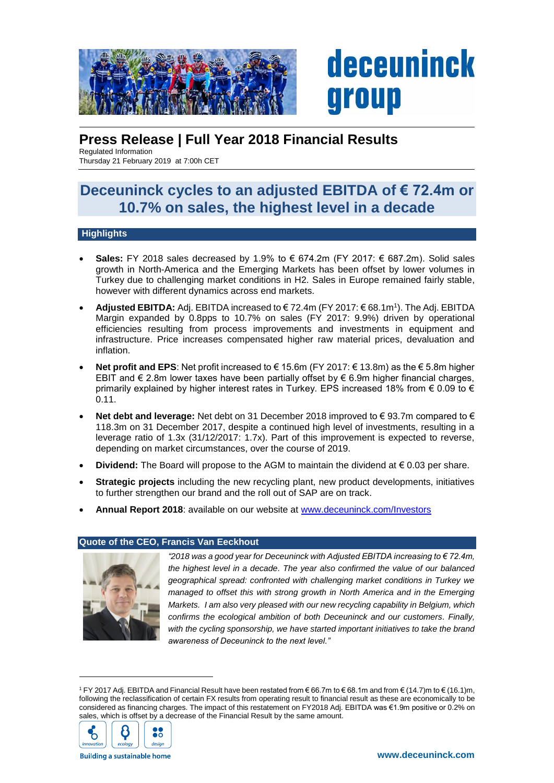

# **Press Release | Full Year 2018 Financial Results**

Regulated Information Thursday 21 February 2019 at 7:00h CET

# **Deceuninck cycles to an adjusted EBITDA of € 72.4m or 10.7% on sales, the highest level in a decade**

# **Highlights**

- **Sales:** FY 2018 sales decreased by 1.9% to € 674.2m (FY 2017:  $∈$  687.2m). Solid sales growth in North-America and the Emerging Markets has been offset by lower volumes in Turkey due to challenging market conditions in H2. Sales in Europe remained fairly stable, however with different dynamics across end markets.
- **Adjusted EBITDA:** Adj. EBITDA increased to € 72.4m (FY 2017: € 68.1m<sup>1</sup> ). The Adj. EBITDA Margin expanded by 0.8pps to 10.7% on sales (FY 2017: 9.9%) driven by operational efficiencies resulting from process improvements and investments in equipment and infrastructure. Price increases compensated higher raw material prices, devaluation and inflation.
- **Net profit and EPS:** Net profit increased to € 15.6m (FY 2017: € 13.8m) as the € 5.8m higher EBIT and  $\epsilon$  2.8m lower taxes have been partially offset by  $\epsilon$  6.9m higher financial charges, primarily explained by higher interest rates in Turkey. EPS increased 18% from  $\epsilon$  0.09 to  $\epsilon$ 0.11.
- **Net debt and leverage:** Net debt on 31 December 2018 improved to € 93.7m compared to € 118.3m on 31 December 2017, despite a continued high level of investments, resulting in a leverage ratio of 1.3x (31/12/2017: 1.7x). Part of this improvement is expected to reverse, depending on market circumstances, over the course of 2019.
- **Dividend:** The Board will propose to the AGM to maintain the dividend at € 0.03 per share.
- **Strategic projects** including the new recycling plant, new product developments, initiatives to further strengthen our brand and the roll out of SAP are on track.
- **Annual Report 2018**: available on our website at [www.deceuninck.com/Investors](http://www.deceuninck.com/en/annual-report.aspx)

## **Quote of the CEO, Francis Van Eeckhout**



*"2018 was a good year for Deceuninck with Adjusted EBITDA increasing to € 72.4m, the highest level in a decade. The year also confirmed the value of our balanced geographical spread: confronted with challenging market conditions in Turkey we managed to offset this with strong growth in North America and in the Emerging Markets. I am also very pleased with our new recycling capability in Belgium, which confirms the ecological ambition of both Deceuninck and our customers. Finally, with the cycling sponsorship, we have started important initiatives to take the brand awareness of Deceuninck to the next level."*

<sup>1</sup> FY 2017 Adj. EBITDA and Financial Result have been restated from € 66.7m to € 68.1m and from € (14.7)m to € (16.1)m, following the reclassification of certain FX results from operating result to financial result as these are economically to be considered as financing charges. The impact of this restatement on FY2018 Adj. EBITDA was €1.9m positive or 0.2% on sales, which is offset by a decrease of the Financial Result by the same amount.



-

**Building a sustainable home**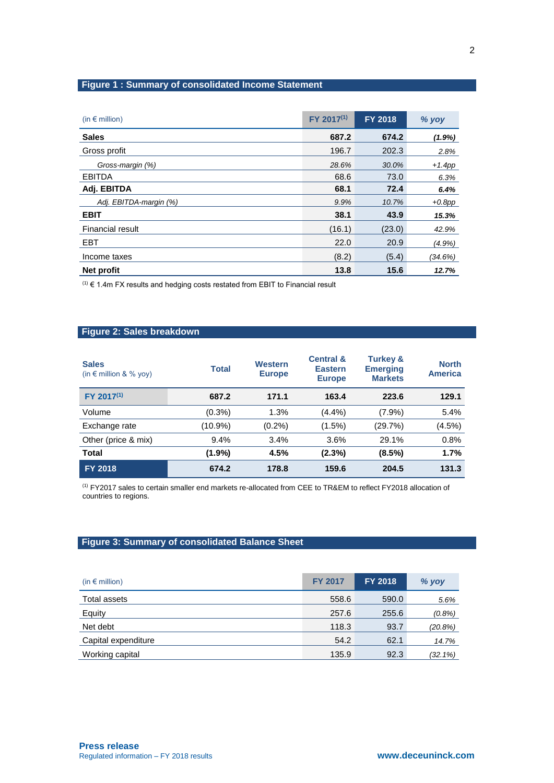# **Figure 1 : Summary of consolidated Income Statement**

| (in $\epsilon$ million) | FY 2017 <sup>(1)</sup> | <b>FY 2018</b> | % yoy      |
|-------------------------|------------------------|----------------|------------|
| <b>Sales</b>            | 687.2                  | 674.2          | (1.9%)     |
| Gross profit            | 196.7                  | 202.3          | 2.8%       |
| Gross-margin (%)        | 28.6%                  | 30.0%          | $+1.4$ pp  |
| <b>EBITDA</b>           | 68.6                   | 73.0           | 6.3%       |
| Adj. EBITDA             | 68.1                   | 72.4           | 6.4%       |
| Adj. EBITDA-margin (%)  | 9.9%                   | 10.7%          | $+0.8$ pp  |
| <b>EBIT</b>             | 38.1                   | 43.9           | 15.3%      |
| <b>Financial result</b> | (16.1)                 | (23.0)         | 42.9%      |
| <b>EBT</b>              | 22.0                   | 20.9           | (4.9%)     |
| Income taxes            | (8.2)                  | (5.4)          | $(34.6\%)$ |
| Net profit              | 13.8                   | 15.6           | 12.7%      |

 $(1)$   $\in$  1.4m FX results and hedging costs restated from EBIT to Financial result

# **Figure 2: Sales breakdown**

| <b>Sales</b><br>(in $\epsilon$ million & % yoy) | <b>Total</b> | Western<br><b>Europe</b> | <b>Central &amp;</b><br><b>Eastern</b><br><b>Europe</b> | <b>Turkey &amp;</b><br><b>Emerging</b><br><b>Markets</b> | <b>North</b><br><b>America</b> |
|-------------------------------------------------|--------------|--------------------------|---------------------------------------------------------|----------------------------------------------------------|--------------------------------|
| FY 2017 <sup>(1)</sup>                          | 687.2        | 171.1                    | 163.4                                                   | 223.6                                                    | 129.1                          |
| Volume                                          | $(0.3\%)$    | 1.3%                     | $(4.4\%)$                                               | $(7.9\%)$                                                | 5.4%                           |
| Exchange rate                                   | $(10.9\%)$   | $(0.2\%)$                | $(1.5\%)$                                               | (29.7%)                                                  | (4.5%)                         |
| Other (price & mix)                             | 9.4%         | 3.4%                     | $3.6\%$                                                 | 29.1%                                                    | 0.8%                           |
| <b>Total</b>                                    | (1.9%)       | 4.5%                     | (2.3%)                                                  | (8.5%)                                                   | 1.7%                           |
| <b>FY 2018</b>                                  | 674.2        | 178.8                    | 159.6                                                   | 204.5                                                    | 131.3                          |

(1) FY2017 sales to certain smaller end markets re-allocated from CEE to TR&EM to reflect FY2018 allocation of countries to regions.

# **Figure 3: Summary of consolidated Balance Sheet**

| (in $\epsilon$ million) | <b>FY 2017</b> | <b>FY 2018</b> | % yoy      |
|-------------------------|----------------|----------------|------------|
| Total assets            | 558.6          | 590.0          | 5.6%       |
| Equity                  | 257.6          | 255.6          | $(0.8\%)$  |
| Net debt                | 118.3          | 93.7           | (20.8%)    |
| Capital expenditure     | 54.2           | 62.1           | 14.7%      |
| Working capital         | 135.9          | 92.3           | $(32.1\%)$ |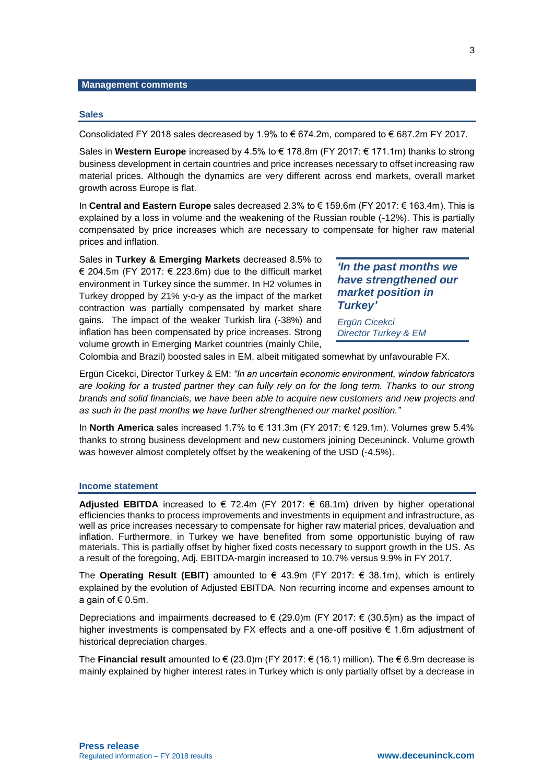#### **Management comments**

#### **Sales**

Consolidated FY 2018 sales decreased by 1.9% to  $\epsilon$  674.2m, compared to  $\epsilon$  687.2m FY 2017.

Sales in **Western Europe** increased by 4.5% to € 178.8m (FY 2017: € 171.1m) thanks to strong business development in certain countries and price increases necessary to offset increasing raw material prices. Although the dynamics are very different across end markets, overall market growth across Europe is flat.

In **Central and Eastern Europe** sales decreased 2.3% to € 159.6m (FY 2017: € 163.4m). This is explained by a loss in volume and the weakening of the Russian rouble (-12%). This is partially compensated by price increases which are necessary to compensate for higher raw material prices and inflation.

Sales in **Turkey & Emerging Markets** decreased 8.5% to € 204.5m (FY 2017: € 223.6m) due to the difficult market environment in Turkey since the summer. In H2 volumes in Turkey dropped by 21% y-o-y as the impact of the market contraction was partially compensated by market share gains. The impact of the weaker Turkish lira (-38%) and inflation has been compensated by price increases. Strong volume growth in Emerging Market countries (mainly Chile,

*'In the past months we have strengthened our market position in Turkey'*

*Ergün Cicekci Director Turkey & EM*

Colombia and Brazil) boosted sales in EM, albeit mitigated somewhat by unfavourable FX.

Ergün Cicekci, Director Turkey & EM: *"In an uncertain economic environment, window fabricators are looking for a trusted partner they can fully rely on for the long term. Thanks to our strong brands and solid financials, we have been able to acquire new customers and new projects and as such in the past months we have further strengthened our market position."*

In **North America** sales increased 1.7% to € 131.3m (FY 2017: € 129.1m). Volumes grew 5.4% thanks to strong business development and new customers joining Deceuninck. Volume growth was however almost completely offset by the weakening of the USD (-4.5%).

#### **Income statement**

**Adjusted EBITDA** increased to € 72.4m (FY 2017: € 68.1m) driven by higher operational efficiencies thanks to process improvements and investments in equipment and infrastructure, as well as price increases necessary to compensate for higher raw material prices, devaluation and inflation. Furthermore, in Turkey we have benefited from some opportunistic buying of raw materials. This is partially offset by higher fixed costs necessary to support growth in the US. As a result of the foregoing, Adj. EBITDA-margin increased to 10.7% versus 9.9% in FY 2017.

The **Operating Result (EBIT)** amounted to  $\in$  43.9m (FY 2017:  $\in$  38.1m), which is entirely explained by the evolution of Adjusted EBITDA. Non recurring income and expenses amount to a gain of  $\epsilon$  0.5m.

Depreciations and impairments decreased to  $\in$  (29.0)m (FY 2017:  $\in$  (30.5)m) as the impact of higher investments is compensated by FX effects and a one-off positive € 1.6m adjustment of historical depreciation charges.

The **Financial result** amounted to € (23.0)m (FY 2017: € (16.1) million). The € 6.9m decrease is mainly explained by higher interest rates in Turkey which is only partially offset by a decrease in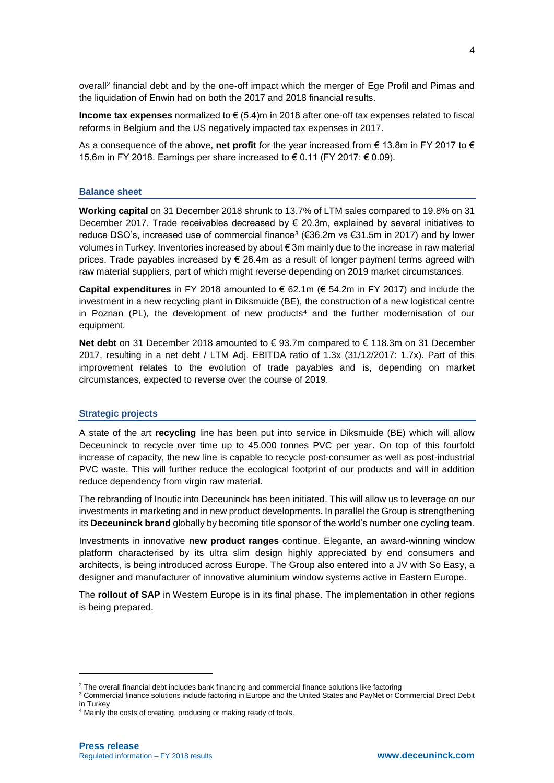overall<sup>2</sup> financial debt and by the one-off impact which the merger of Ege Profil and Pimas and the liquidation of Enwin had on both the 2017 and 2018 financial results.

**Income tax expenses** normalized to € (5.4)m in 2018 after one-off tax expenses related to fiscal reforms in Belgium and the US negatively impacted tax expenses in 2017.

As a consequence of the above, **net profit** for the year increased from € 13.8m in FY 2017 to € 15.6m in FY 2018. Earnings per share increased to € 0.11 (FY 2017:  $€$  0.09).

### **Balance sheet**

**Working capital** on 31 December 2018 shrunk to 13.7% of LTM sales compared to 19.8% on 31 December 2017. Trade receivables decreased by  $\epsilon$  20.3m, explained by several initiatives to reduce DSO's, increased use of commercial finance<sup>3</sup> (€36.2m vs €31.5m in 2017) and by lower volumes in Turkey. Inventories increased by about € 3m mainly due to the increase in raw material prices. Trade payables increased by  $\epsilon$  26.4m as a result of longer payment terms agreed with raw material suppliers, part of which might reverse depending on 2019 market circumstances.

**Capital expenditures** in FY 2018 amounted to € 62.1m (€ 54.2m in FY 2017) and include the investment in a new recycling plant in Diksmuide (BE), the construction of a new logistical centre in Poznan  $(PL)$ , the development of new products<sup>4</sup> and the further modernisation of our equipment.

**Net debt** on 31 December 2018 amounted to € 93.7m compared to € 118.3m on 31 December 2017, resulting in a net debt / LTM Adj. EBITDA ratio of 1.3x (31/12/2017: 1.7x). Part of this improvement relates to the evolution of trade payables and is, depending on market circumstances, expected to reverse over the course of 2019.

### **Strategic projects**

A state of the art **recycling** line has been put into service in Diksmuide (BE) which will allow Deceuninck to recycle over time up to 45.000 tonnes PVC per year. On top of this fourfold increase of capacity, the new line is capable to recycle post-consumer as well as post-industrial PVC waste. This will further reduce the ecological footprint of our products and will in addition reduce dependency from virgin raw material.

The rebranding of Inoutic into Deceuninck has been initiated. This will allow us to leverage on our investments in marketing and in new product developments. In parallel the Group is strengthening its **Deceuninck brand** globally by becoming title sponsor of the world's number one cycling team.

Investments in innovative **new product ranges** continue. Elegante, an award-winning window platform characterised by its ultra slim design highly appreciated by end consumers and architects, is being introduced across Europe. The Group also entered into a JV with So Easy, a designer and manufacturer of innovative aluminium window systems active in Eastern Europe.

The **rollout of SAP** in Western Europe is in its final phase. The implementation in other regions is being prepared.

-

 $2$  The overall financial debt includes bank financing and commercial finance solutions like factoring

<sup>&</sup>lt;sup>3</sup> Commercial finance solutions include factoring in Europe and the United States and PayNet or Commercial Direct Debit in Turkey

<sup>&</sup>lt;sup>4</sup> Mainly the costs of creating, producing or making ready of tools.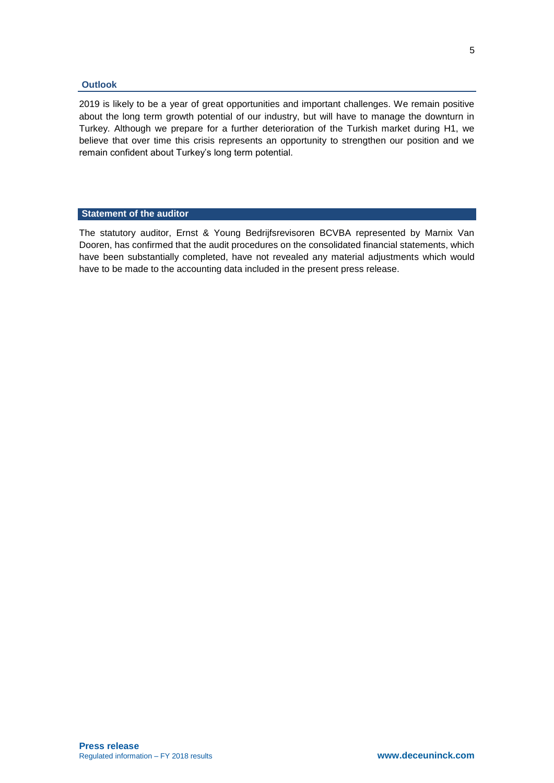#### **Outlook**

2019 is likely to be a year of great opportunities and important challenges. We remain positive about the long term growth potential of our industry, but will have to manage the downturn in Turkey. Although we prepare for a further deterioration of the Turkish market during H1, we believe that over time this crisis represents an opportunity to strengthen our position and we remain confident about Turkey's long term potential.

### **Statement of the auditor**

The statutory auditor, Ernst & Young Bedrijfsrevisoren BCVBA represented by Marnix Van Dooren, has confirmed that the audit procedures on the consolidated financial statements, which have been substantially completed, have not revealed any material adjustments which would have to be made to the accounting data included in the present press release.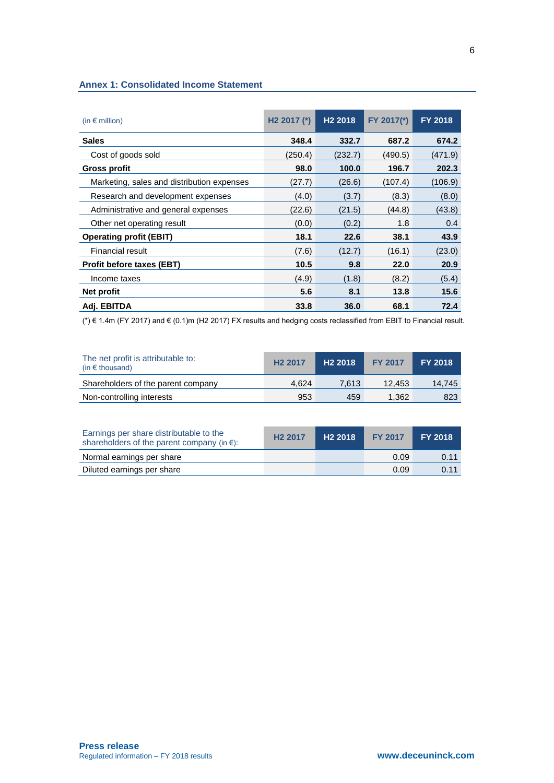## **Annex 1: Consolidated Income Statement**

| (in $\epsilon$ million)                    | H <sub>2</sub> 2017 $(*)$ | H <sub>2</sub> 2018 | FY 2017(*) | <b>FY 2018</b> |
|--------------------------------------------|---------------------------|---------------------|------------|----------------|
| <b>Sales</b>                               | 348.4                     | 332.7               | 687.2      | 674.2          |
| Cost of goods sold                         | (250.4)                   | (232.7)             | (490.5)    | (471.9)        |
| <b>Gross profit</b>                        | 98.0                      | 100.0               | 196.7      | 202.3          |
| Marketing, sales and distribution expenses | (27.7)                    | (26.6)              | (107.4)    | (106.9)        |
| Research and development expenses          | (4.0)                     | (3.7)               | (8.3)      | (8.0)          |
| Administrative and general expenses        | (22.6)                    | (21.5)              | (44.8)     | (43.8)         |
| Other net operating result                 | (0.0)                     | (0.2)               | 1.8        | 0.4            |
| <b>Operating profit (EBIT)</b>             | 18.1                      | 22.6                | 38.1       | 43.9           |
| <b>Financial result</b>                    | (7.6)                     | (12.7)              | (16.1)     | (23.0)         |
| <b>Profit before taxes (EBT)</b>           | 10.5                      | 9.8                 | 22.0       | 20.9           |
| Income taxes                               | (4.9)                     | (1.8)               | (8.2)      | (5.4)          |
| Net profit                                 | 5.6                       | 8.1                 | 13.8       | 15.6           |
| Adj. EBITDA                                | 33.8                      | 36.0                | 68.1       | 72.4           |

(\*) € 1.4m (FY 2017) and € (0.1)m (H2 2017) FX results and hedging costs reclassified from EBIT to Financial result.

| The net profit is attributable to:<br>(in $\epsilon$ thousand) | H <sub>2</sub> 2017 | H <sub>2</sub> 2018 | <b>FY 2017</b> | <b>FY 2018</b> |
|----------------------------------------------------------------|---------------------|---------------------|----------------|----------------|
| Shareholders of the parent company                             | 4.624               | 7.613               | 12.453         | 14.745         |
| Non-controlling interests                                      | 953                 | 459                 | 1.362          | 823            |

| Earnings per share distributable to the<br>shareholders of the parent company (in $\epsilon$ ): | H <sub>2</sub> 2017 | H <sub>2</sub> 2018 | <b>FY 2017</b> | <b>FY 2018</b> |
|-------------------------------------------------------------------------------------------------|---------------------|---------------------|----------------|----------------|
| Normal earnings per share                                                                       |                     |                     | 0.09           | 0.11           |
| Diluted earnings per share                                                                      |                     |                     | 0.09           | 0.11           |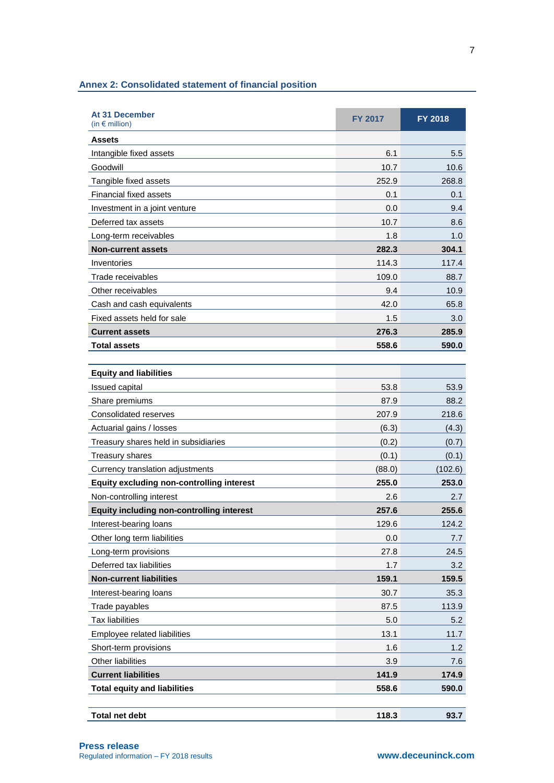| Assets<br>Intangible fixed assets<br>Goodwill<br>Tangible fixed assets<br><b>Financial fixed assets</b><br>Investment in a joint venture<br>Deferred tax assets<br>Long-term receivables<br><b>Non-current assets</b><br>Inventories<br>Trade receivables<br>Other receivables | <b>FY 2017</b>  | <b>FY 2018</b>   |
|--------------------------------------------------------------------------------------------------------------------------------------------------------------------------------------------------------------------------------------------------------------------------------|-----------------|------------------|
|                                                                                                                                                                                                                                                                                |                 |                  |
|                                                                                                                                                                                                                                                                                | 6.1             | 5.5              |
|                                                                                                                                                                                                                                                                                | 10.7            | 10.6             |
|                                                                                                                                                                                                                                                                                | 252.9           | 268.8            |
|                                                                                                                                                                                                                                                                                | 0.1             | 0.1              |
|                                                                                                                                                                                                                                                                                | 0.0             | 9.4              |
|                                                                                                                                                                                                                                                                                | 10.7            | 8.6              |
|                                                                                                                                                                                                                                                                                | 1.8             | 1.0              |
|                                                                                                                                                                                                                                                                                | 282.3           | 304.1            |
|                                                                                                                                                                                                                                                                                | 114.3           | 117.4            |
|                                                                                                                                                                                                                                                                                | 109.0           | 88.7             |
|                                                                                                                                                                                                                                                                                | 9.4             | 10.9             |
| Cash and cash equivalents                                                                                                                                                                                                                                                      | 42.0            | 65.8             |
| Fixed assets held for sale                                                                                                                                                                                                                                                     | 1.5             | 3.0              |
| <b>Current assets</b>                                                                                                                                                                                                                                                          | 276.3           | 285.9            |
| <b>Total assets</b>                                                                                                                                                                                                                                                            | 558.6           | 590.0            |
|                                                                                                                                                                                                                                                                                |                 |                  |
| <b>Equity and liabilities</b>                                                                                                                                                                                                                                                  |                 |                  |
| Issued capital                                                                                                                                                                                                                                                                 | 53.8            | 53.9             |
| Share premiums                                                                                                                                                                                                                                                                 | 87.9            | 88.2             |
| Consolidated reserves                                                                                                                                                                                                                                                          | 207.9           | 218.6            |
| Actuarial gains / losses                                                                                                                                                                                                                                                       | (6.3)           | (4.3)            |
| Treasury shares held in subsidiaries                                                                                                                                                                                                                                           | (0.2)           | (0.7)            |
| <b>Treasury shares</b>                                                                                                                                                                                                                                                         | (0.1)           | (0.1)<br>(102.6) |
| Currency translation adjustments<br><b>Equity excluding non-controlling interest</b>                                                                                                                                                                                           | (88.0)<br>255.0 | 253.0            |
| Non-controlling interest                                                                                                                                                                                                                                                       | 2.6             | 2.7              |
| <b>Equity including non-controlling interest</b>                                                                                                                                                                                                                               | 257.6           | 255.6            |
| Interest-bearing loans                                                                                                                                                                                                                                                         | 129.6           | 124.2            |
| Other long term liabilities                                                                                                                                                                                                                                                    | 0.0             | 7.7              |
| Long-term provisions                                                                                                                                                                                                                                                           | 27.8            | 24.5             |
| Deferred tax liabilities                                                                                                                                                                                                                                                       | 1.7             | 3.2              |
| <b>Non-current liabilities</b>                                                                                                                                                                                                                                                 | 159.1           | 159.5            |
| Interest-bearing loans                                                                                                                                                                                                                                                         | 30.7            | 35.3             |
| Trade payables                                                                                                                                                                                                                                                                 | 87.5            | 113.9            |
| <b>Tax liabilities</b>                                                                                                                                                                                                                                                         | 5.0             | 5.2              |
| Employee related liabilities                                                                                                                                                                                                                                                   | 13.1            | 11.7             |
| Short-term provisions                                                                                                                                                                                                                                                          | 1.6             | 1.2              |
| Other liabilities                                                                                                                                                                                                                                                              | 3.9             | 7.6              |
| <b>Current liabilities</b>                                                                                                                                                                                                                                                     | 141.9           | 174.9            |
| <b>Total equity and liabilities</b>                                                                                                                                                                                                                                            | 558.6           | 590.0            |
| <b>Total net debt</b>                                                                                                                                                                                                                                                          |                 | 93.7             |

# **Annex 2: Consolidated statement of financial position**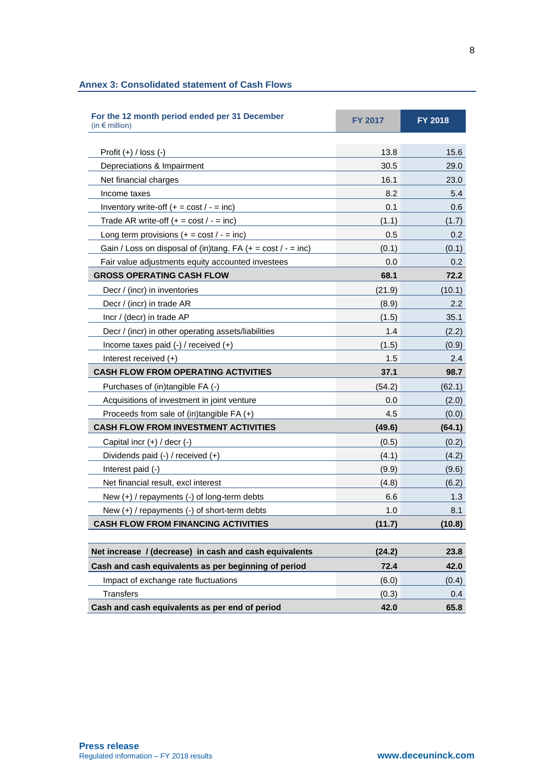# **Annex 3: Consolidated statement of Cash Flows**

| For the 12 month period ended per 31 December<br>(in $\bm{\epsilon}$ million) | <b>FY 2017</b> | FY 2018          |
|-------------------------------------------------------------------------------|----------------|------------------|
|                                                                               |                |                  |
| Profit $(+)$ / loss $(-)$                                                     | 13.8           | 15.6             |
| Depreciations & Impairment                                                    | 30.5           | 29.0             |
| Net financial charges                                                         | 16.1           | 23.0             |
| Income taxes                                                                  | 8.2            | 5.4              |
| Inventory write-off $(+ = \text{cost}/ - = \text{inc})$                       | 0.1            | 0.6              |
| Trade AR write-off $(+ = \text{cost}/ - = \text{inc})$                        | (1.1)          | (1.7)            |
| Long term provisions $(+ = \text{cost}/ - = \text{inc})$                      | 0.5            | 0.2              |
| Gain / Loss on disposal of (in)tang. FA $(+ = \text{cost}/ - = \text{inc})$   | (0.1)          | (0.1)            |
| Fair value adjustments equity accounted investees                             | 0.0            | 0.2 <sub>2</sub> |
| <b>GROSS OPERATING CASH FLOW</b>                                              | 68.1           | 72.2             |
| Decr / (incr) in inventories                                                  | (21.9)         | (10.1)           |
| Decr / (incr) in trade AR                                                     | (8.9)          | $2.2\phantom{0}$ |
| Incr / (decr) in trade AP                                                     | (1.5)          | 35.1             |
| Decr / (incr) in other operating assets/liabilities                           | 1.4            | (2.2)            |
| Income taxes paid $(-)$ / received $(+)$                                      | (1.5)          | (0.9)            |
| Interest received (+)                                                         | 1.5            | 2.4              |
| <b>CASH FLOW FROM OPERATING ACTIVITIES</b>                                    | 37.1           | 98.7             |
| Purchases of (in)tangible FA (-)                                              | (54.2)         | (62.1)           |
| Acquisitions of investment in joint venture                                   | 0.0            | (2.0)            |
| Proceeds from sale of (in)tangible $FA (+)$                                   | 4.5            | (0.0)            |
| <b>CASH FLOW FROM INVESTMENT ACTIVITIES</b>                                   | (49.6)         | (64.1)           |
| Capital incr $(+)$ / decr $(-)$                                               | (0.5)          | (0.2)            |
| Dividends paid (-) / received (+)                                             | (4.1)          | (4.2)            |
| Interest paid (-)                                                             | (9.9)          | (9.6)            |
| Net financial result, excl interest                                           | (4.8)          | (6.2)            |
| New $(+)$ / repayments $(-)$ of long-term debts                               | 6.6            | 1.3              |
| New (+) / repayments (-) of short-term debts                                  | 1.0            | 8.1              |
| <b>CASH FLOW FROM FINANCING ACTIVITIES</b>                                    | (11.7)         | (10.8)           |
|                                                                               |                |                  |
| Net increase / (decrease) in cash and cash equivalents                        | (24.2)         | 23.8             |
| Cash and cash equivalents as per beginning of period                          | 72.4           | 42.0             |
| Impact of exchange rate fluctuations                                          | (6.0)          | (0.4)            |
| <b>Transfers</b>                                                              | (0.3)          | 0.4              |
| Cash and cash equivalents as per end of period                                | 42.0           | 65.8             |